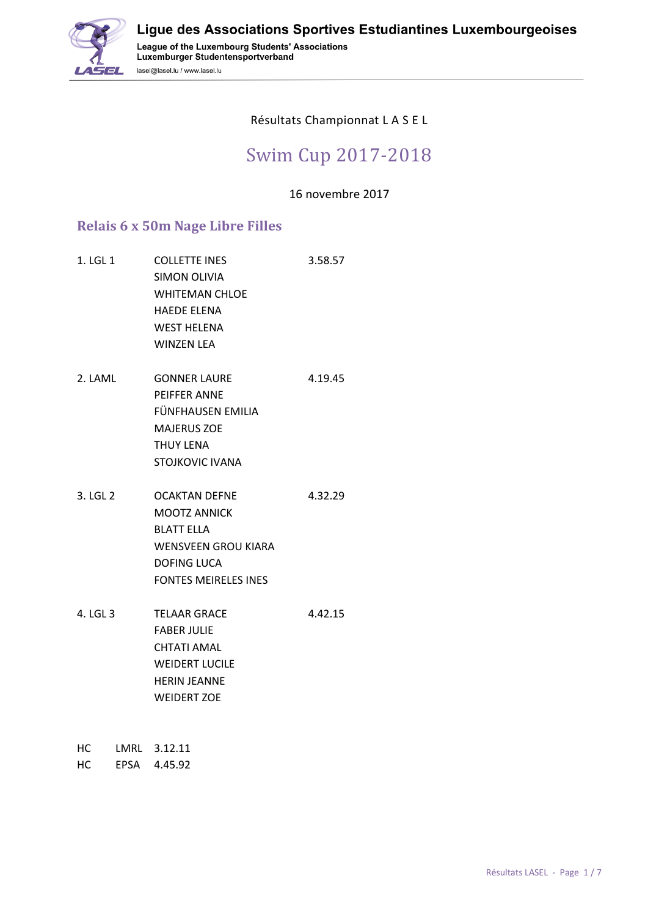

#### Résultats Championnat L A S E L

# Swim Cup 2017-2018

16 novembre 2017

#### **Relais 6 x 50m Nage Libre Filles**

lasel@lasel.lu / www.lasel.lu

- 1. LGL 1 COLLETTE INES 3.58.57 SIMON OLIVIA WHITEMAN CHLOE HAEDE ELENA WEST HELENA WINZEN LEA 2. LAML GONNER LAURE 4.19.45 PEIFFER ANNE FÜNFHAUSEN EMILIA MAJERUS ZOE THUY LENA STOJKOVIC IVANA 3. LGL 2 OCAKTAN DEFNE 4.32.29 MOOTZ ANNICK BLATT ELLA WENSVEEN GROU KIARA DOFING LUCA FONTES MEIRELES INES 4. LGL 3 TELAAR GRACE 4.42.15
- FABER JULIE CHTATI AMAL WEIDERT LUCILE HERIN JEANNE WEIDERT ZOE
- HC LMRL 3.12.11
- HC EPSA 4.45.92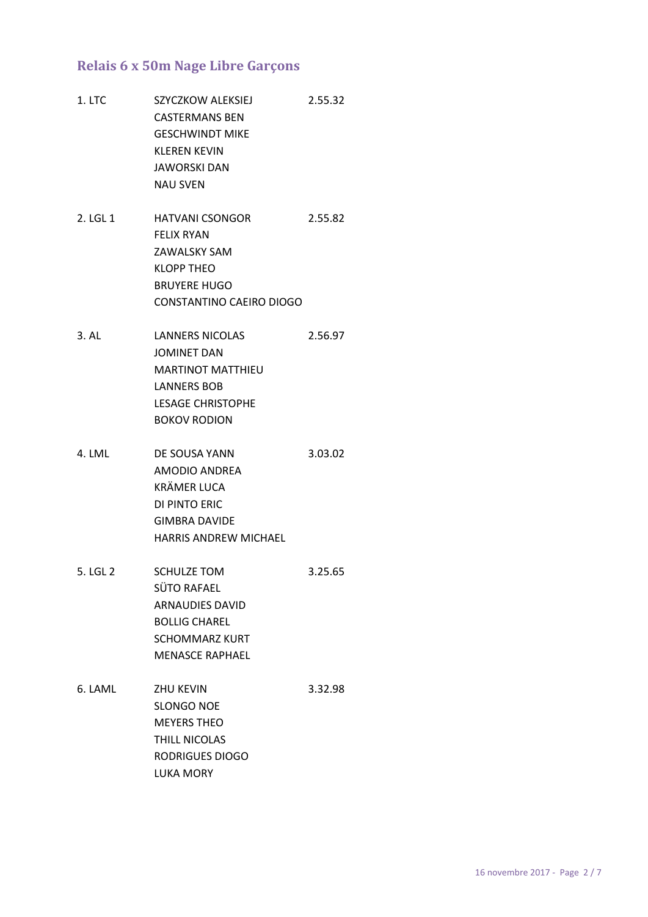### **Relais 6 x 50m Nage Libre Garçons**

- 1. LTC SZYCZKOW ALEKSIEJ 2.55.32 CASTERMANS BEN GESCHWINDT MIKE KLEREN KEVIN JAWORSKI DAN NAU SVEN 2. LGL 1 HATVANI CSONGOR 2.55.82 FELIX RYAN ZAWALSKY SAM KLOPP THEO BRUYERE HUGO CONSTANTINO CAEIRO DIOGO 3. AL LANNERS NICOLAS 2.56.97 JOMINET DAN MARTINOT MATTHIEU LANNERS BOB LESAGE CHRISTOPHE BOKOV RODION 4. LML DE SOUSA YANN 3.03.02 AMODIO ANDREA KRÄMER LUCA DI PINTO ERIC
- GIMBRA DAVIDE HARRIS ANDREW MICHAEL 5. LGL 2 SCHULZE TOM 3.25.65 SÜTO RAFAEL ARNAUDIES DAVID BOLLIG CHAREL SCHOMMARZ KURT

MENASCE RAPHAEL

6. LAML ZHU KEVIN 3.32.98 SLONGO NOE MEYERS THEO THILL NICOLAS RODRIGUES DIOGO LUKA MORY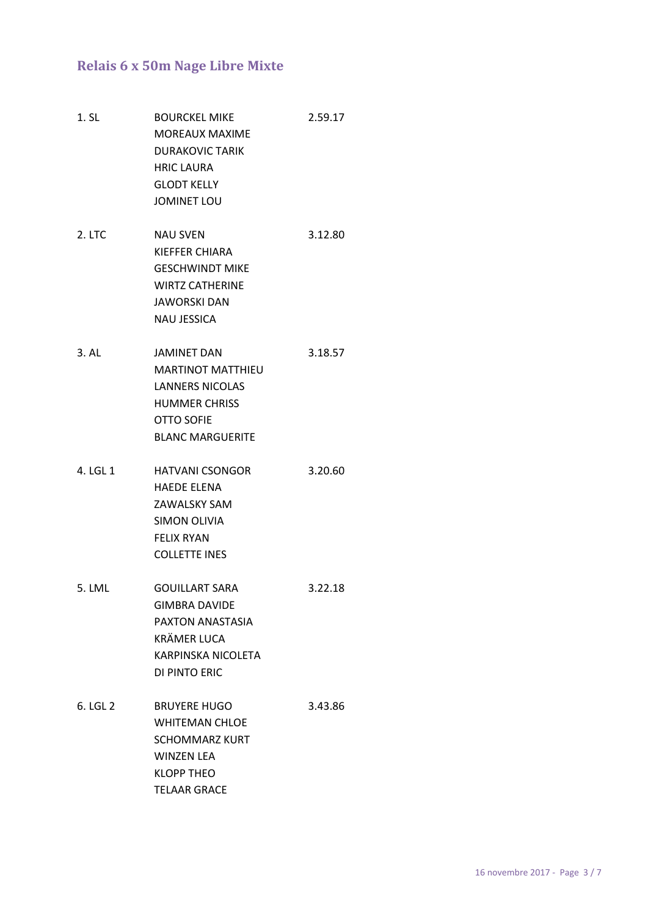# **Relais 6 x 50m Nage Libre Mixte**

- 1. SL BOURCKEL MIKE 2.59.17 MOREAUX MAXIME DURAKOVIC TARIK HRIC LAURA GLODT KELLY JOMINET LOU
- 2. LTC NAU SVEN 3.12.80 KIEFFER CHIARA GESCHWINDT MIKE WIRTZ CATHERINE JAWORSKI DAN NAU JESSICA
- 3. AL JAMINET DAN 3.18.57 MARTINOT MATTHIEU LANNERS NICOLAS HUMMER CHRISS OTTO SOFIE BLANC MARGUERITE
- 4. LGL 1 HATVANI CSONGOR 3.20.60 HAEDE ELENA ZAWALSKY SAM SIMON OLIVIA FELIX RYAN COLLETTE INES
- 5. LML GOUILLART SARA 3.22.18 GIMBRA DAVIDE PAXTON ANASTASIA KRÄMER LUCA KARPINSKA NICOLETA DI PINTO ERIC
- 6. LGL 2 BRUYERE HUGO 3.43.86 WHITEMAN CHLOE SCHOMMARZ KURT WINZEN LEA KLOPP THEO TELAAR GRACE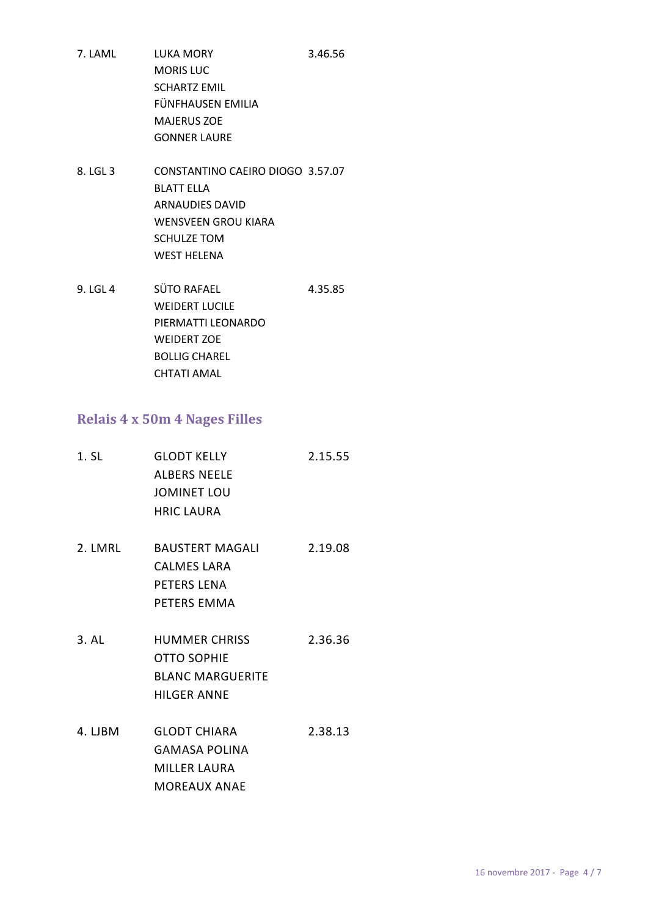- 7. LAML LUKA MORY 3.46.56 MORIS LUC SCHARTZ EMIL FÜNFHAUSEN EMILIA MAJERUS ZOE GONNER LAURE
- 8. LGL 3 CONSTANTINO CAEIRO DIOGO 3.57.07 BLATT ELLA ARNAUDIES DAVID WENSVEEN GROU KIARA SCHULZE TOM WEST HELENA
- 9. LGL 4 SÜTO RAFAEL 4.35.85 WEIDERT LUCILE PIERMATTI LEONARDO WEIDERT ZOE BOLLIG CHAREL CHTATI AMAL

#### **Relais 4 x 50m 4 Nages Filles**

| 1. SL | <b>GLODT KELLY</b>  | 2.15.55 |
|-------|---------------------|---------|
|       | <b>ALBERS NEELE</b> |         |
|       | JOMINET LOU         |         |
|       | <b>HRIC LAURA</b>   |         |
|       |                     |         |

- 2. LMRL BAUSTERT MAGALI 2.19.08 CALMES LARA PETERS LENA PETERS EMMA
- 3. AL HUMMER CHRISS 2.36.36 OTTO SOPHIE BLANC MARGUERITE HILGER ANNE
- 4. LJBM GLODT CHIARA 2.38.13 GAMASA POLINA MILLER LAURA MOREAUX ANAE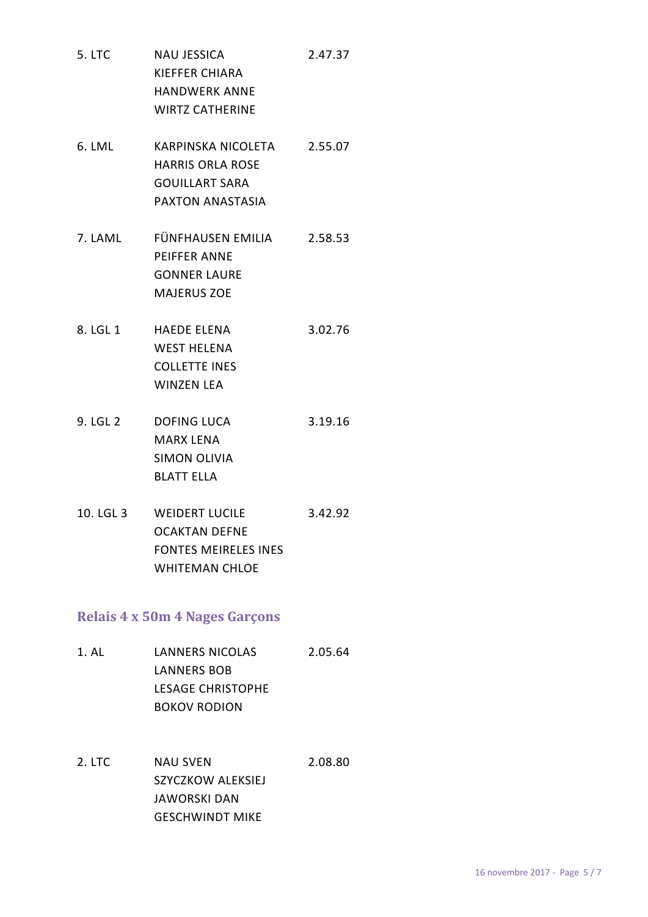- 5. LTC NAU JESSICA 2.47.37 KIEFFER CHIARA HANDWERK ANNE WIRTZ CATHERINE
- 6. LML KARPINSKA NICOLETA 2.55.07 HARRIS ORLA ROSE GOUILLART SARA PAXTON ANASTASIA
- 7. LAML FÜNFHAUSEN EMILIA 2.58.53 PEIFFER ANNE GONNER LAURE MAJERUS ZOE
- 8. LGL 1 HAEDE ELENA 3.02.76 WEST HELENA COLLETTE INES WINZEN LEA
- 9. LGL 2 DOFING LUCA 3.19.16 MARX LENA SIMON OLIVIA BLATT ELLA
- 10. LGL 3 WEIDERT LUCILE 3.42.92 OCAKTAN DEFNE FONTES MEIRELES INES WHITEMAN CHLOE

# **Relais 4 x 50m 4 Nages Garçons**

- 1. AL LANNERS NICOLAS 2.05.64 LANNERS BOB LESAGE CHRISTOPHE BOKOV RODION
- 2. LTC NAU SVEN 2.08.80 SZYCZKOW ALEKSIEJ JAWORSKI DAN GESCHWINDT MIKE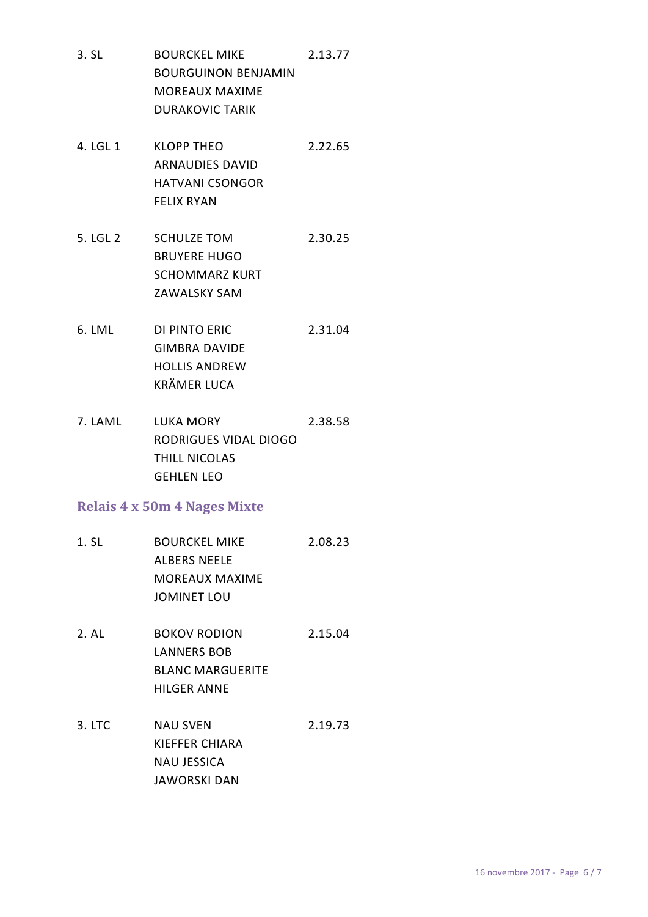- 3. SL BOURCKEL MIKE 2.13.77 BOURGUINON BENJAMIN MOREAUX MAXIME DURAKOVIC TARIK
- 4. LGL 1 KLOPP THEO 2.22.65 ARNAUDIES DAVID HATVANI CSONGOR FELIX RYAN
- 5. LGL 2 SCHULZE TOM 2.30.25 BRUYERE HUGO SCHOMMARZ KURT ZAWALSKY SAM
- 6. LML DI PINTO ERIC 2.31.04 GIMBRA DAVIDE HOLLIS ANDREW KRÄMER LUCA
- 7. LAML LUKA MORY 2.38.58 RODRIGUES VIDAL DIOGO THILL NICOLAS GEHLEN LEO

# **Relais 4 x 50m 4 Nages Mixte**

- 1. SL BOURCKEL MIKE 2.08.23 ALBERS NEELE MOREAUX MAXIME JOMINET LOU
- 2. AL BOKOV RODION 2.15.04 LANNERS BOB BLANC MARGUERITE HILGER ANNE
- 3. LTC NAU SVEN 2.19.73 KIEFFER CHIARA NAU JESSICA JAWORSKI DAN